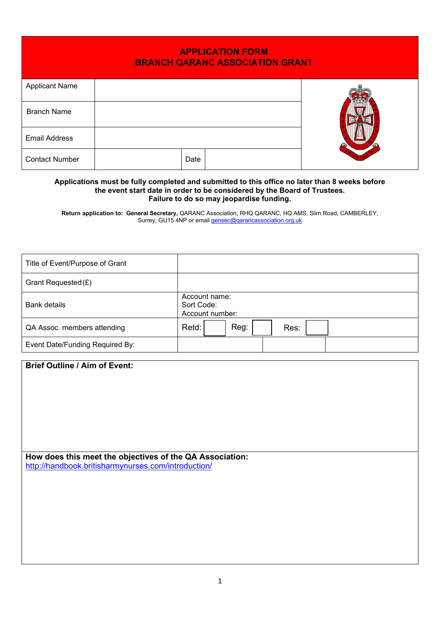| <b>APPLICATION FORM</b><br><b>BRANCH QARANC ASSOCIATION GRANT</b> |      |  |  |  |  |
|-------------------------------------------------------------------|------|--|--|--|--|
| <b>Applicant Name</b>                                             |      |  |  |  |  |
| <b>Branch Name</b>                                                |      |  |  |  |  |
| <b>Email Address</b>                                              |      |  |  |  |  |
| <b>Contact Number</b>                                             | Date |  |  |  |  |

## **Applications must be fully completed and submitted to this office no later than 8 weeks before the event start date in order to be considered by the Board of Trustees. Failure to do so may jeopardise funding.**

**Return application to: General Secretary,** QARANC Association, RHQ QARANC, HQ AMS, Slim Road, CAMBERLEY, Surrey, GU15 4NP or email <u>gensec@qarancassociation.org.uk</u>

| Title of Event/Purpose of Grant |                                                |
|---------------------------------|------------------------------------------------|
| Grant Requested (£)             |                                                |
| <b>Bank details</b>             | Account name:<br>Sort Code:<br>Account number: |
| QA Assoc. members attending     | Reg:<br>Retd:<br>Res:                          |
| Event Date/Funding Required By: |                                                |

| <b>Brief Outline / Aim of Event:</b>                     |  |
|----------------------------------------------------------|--|
|                                                          |  |
|                                                          |  |
|                                                          |  |
|                                                          |  |
|                                                          |  |
|                                                          |  |
|                                                          |  |
| How does this meet the objectives of the QA Association: |  |
| http://handbook.britisharmynurses.com/introduction/      |  |
|                                                          |  |
|                                                          |  |
|                                                          |  |
|                                                          |  |
|                                                          |  |
|                                                          |  |